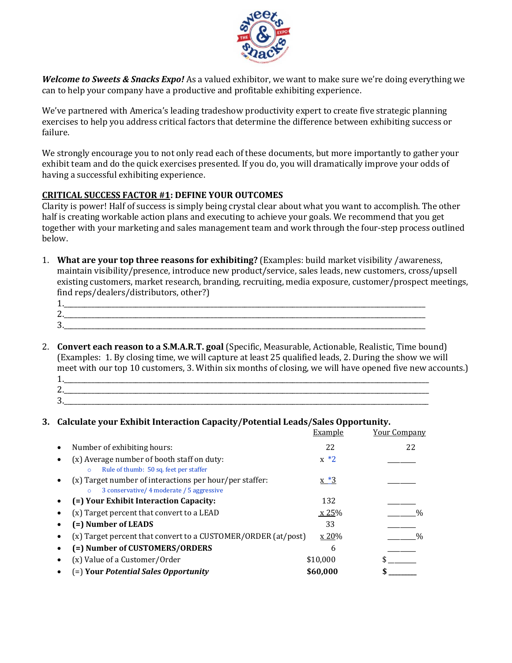

*Welcome to Sweets & Snacks Expo!* As a valued exhibitor, we want to make sure we're doing everything we can to help your company have a productive and profitable exhibiting experience.

We've partnered with America's leading tradeshow productivity expert to create five strategic planning exercises to help you address critical factors that determine the difference between exhibiting success or failure.

We strongly encourage you to not only read each of these documents, but more importantly to gather your exhibit team and do the quick exercises presented. If you do, you will dramatically improve your odds of having a successful exhibiting experience.

## **CRITICAL SUCCESS FACTOR #1: DEFINE YOUR OUTCOMES**

Clarity is power! Half of success is simply being crystal clear about what you want to accomplish. The other half is creating workable action plans and executing to achieve your goals. We recommend that you get together with your marketing and sales management team and work through the four-step process outlined below.

- 1. **What are your top three reasons for exhibiting?** (Examples: build market visibility /awareness, maintain visibility/presence, introduce new product/service, sales leads, new customers, cross/upsell existing customers, market research, branding, recruiting, media exposure, customer/prospect meetings, find reps/dealers/distributors, other?)
	- 1.\_\_\_\_\_\_\_\_\_\_\_\_\_\_\_\_\_\_\_\_\_\_\_\_\_\_\_\_\_\_\_\_\_\_\_\_\_\_\_\_\_\_\_\_\_\_\_\_\_\_\_\_\_\_\_\_\_\_\_\_\_\_\_\_\_\_\_\_\_\_\_\_\_\_\_\_\_\_\_\_\_\_\_\_\_\_\_\_\_\_\_\_\_\_\_\_\_\_\_\_\_\_\_\_\_\_  $2.$  $3.$
- 2. **Convert each reason to a S.M.A.R.T. goal** (Specific, Measurable, Actionable, Realistic, Time bound) (Examples: 1. By closing time, we will capture at least 25 qualified leads, 2. During the show we will meet with our top 10 customers, 3. Within six months of closing, we will have opened five new accounts.) 1.
	- 2.\_\_\_\_\_\_\_\_\_\_\_\_\_\_\_\_\_\_\_\_\_\_\_\_\_\_\_\_\_\_\_\_\_\_\_\_\_\_\_\_\_\_\_\_\_\_\_\_\_\_\_\_\_\_\_\_\_\_\_\_\_\_\_\_\_\_\_\_\_\_\_\_\_\_\_\_\_\_\_\_\_\_\_\_\_\_\_\_\_\_\_\_\_\_\_\_\_\_\_\_\_\_\_\_\_\_\_  $3.$

## **3. Calculate your Exhibit Interaction Capacity/Potential Leads/Sales Opportunity.**

|           |                                                                                                      | Example  | <b>Your Company</b> |
|-----------|------------------------------------------------------------------------------------------------------|----------|---------------------|
| $\bullet$ | Number of exhibiting hours:                                                                          | 22       | 22                  |
|           | (x) Average number of booth staff on duty:<br>Rule of thumb: 50 sq. feet per staffer                 | $x * 2$  |                     |
|           | (x) Target number of interactions per hour/per staffer:<br>3 conservative/ 4 moderate / 5 aggressive | $x * 3$  |                     |
|           | (=) Your Exhibit Interaction Capacity:                                                               | 132      |                     |
|           | (x) Target percent that convert to a LEAD                                                            | x 25%    | $\%$                |
|           | (=) Number of LEADS                                                                                  | 33       |                     |
|           | (x) Target percent that convert to a CUSTOMER/ORDER (at/post)                                        | x 20%    | $\%$                |
|           | (=) Number of CUSTOMERS/ORDERS                                                                       | 6        |                     |
|           | (x) Value of a Customer/Order                                                                        | \$10,000 |                     |
|           | (=) Your Potential Sales Opportunity                                                                 | \$60,000 |                     |